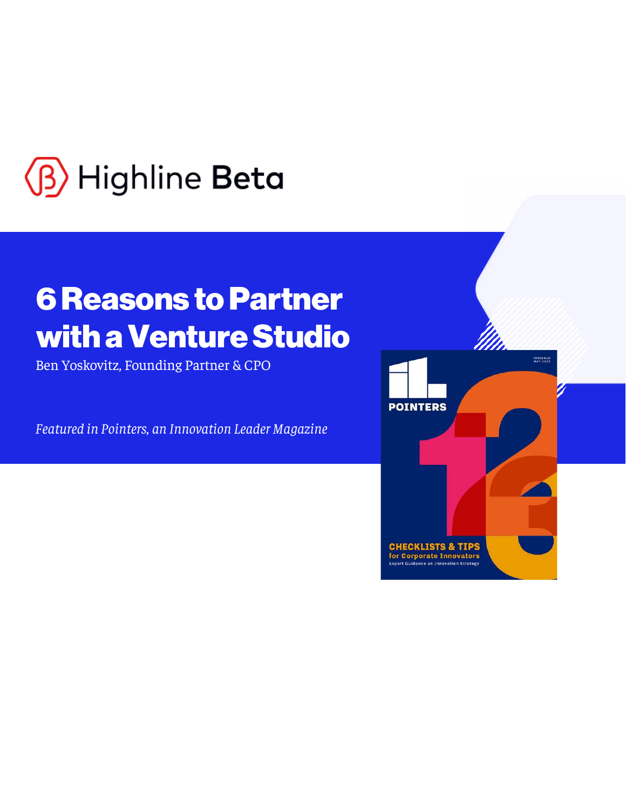

# **6 Reasons to Partner** with a Venture Studio

Ben Yoskovitz, Founding Partner & CPO

Featured in Pointers, an Innovation Leader Magazine

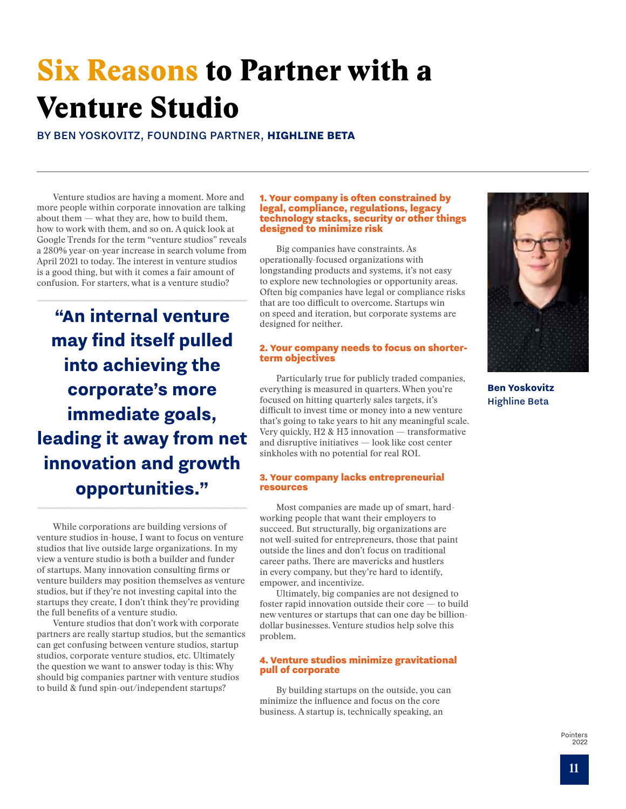## Six Reasons to Partner with a Venture Studio

BY BEN YOSKOVITZ, FOUNDING PARTNER, **HIGHLINE BETA**

Venture studios are having a moment. More and more people within corporate innovation are talking about them — what they are, how to build them, how to work with them, and so on. A quick look at Google Trends for the term "venture studios" reveals a 280% year-on-year increase in search volume from April 2021 to today. The interest in venture studios is a good thing, but with it comes a fair amount of confusion. For starters, what is a venture studio?

**"An internal venture may find itself pulled into achieving the corporate's more immediate goals, leading it away from net innovation and growth opportunities."**

While corporations are building versions of venture studios in-house, I want to focus on venture studios that live outside large organizations. In my view a venture studio is both a builder and funder of startups. Many innovation consulting firms or venture builders may position themselves as venture studios, but if they're not investing capital into the startups they create, I don't think they're providing the full benefits of a venture studio.

Venture studios that don't work with corporate partners are really startup studios, but the semantics can get confusing between venture studios, startup studios, corporate venture studios, etc. Ultimately the question we want to answer today is this: Why should big companies partner with venture studios to build & fund spin-out/independent startups?

#### 1. Your company is often constrained by legal, compliance, regulations, legacy technology stacks, security or other things designed to minimize risk

Big companies have constraints. As operationally-focused organizations with longstanding products and systems, it's not easy to explore new technologies or opportunity areas. Often big companies have legal or compliance risks that are too difficult to overcome. Startups win on speed and iteration, but corporate systems are designed for neither.

## 2. Your company needs to focus on shorterterm objectives

Particularly true for publicly traded companies, everything is measured in quarters. When you're focused on hitting quarterly sales targets, it's difficult to invest time or money into a new venture that's going to take years to hit any meaningful scale. Very quickly, H2 & H3 innovation — transformative and disruptive initiatives — look like cost center sinkholes with no potential for real ROI.

## 3. Your company lacks entrepreneurial resources

Most companies are made up of smart, hardworking people that want their employers to succeed. But structurally, big organizations are not well-suited for entrepreneurs, those that paint outside the lines and don't focus on traditional career paths. There are mavericks and hustlers in every company, but they're hard to identify, empower, and incentivize.

Ultimately, big companies are not designed to foster rapid innovation outside their core — to build new ventures or startups that can one day be billiondollar businesses. Venture studios help solve this problem.

## 4. Venture studios minimize gravitational pull of corporate

By building startups on the outside, you can minimize the influence and focus on the core business. A startup is, technically speaking, an



**Ben Yoskovitz** Highline Beta